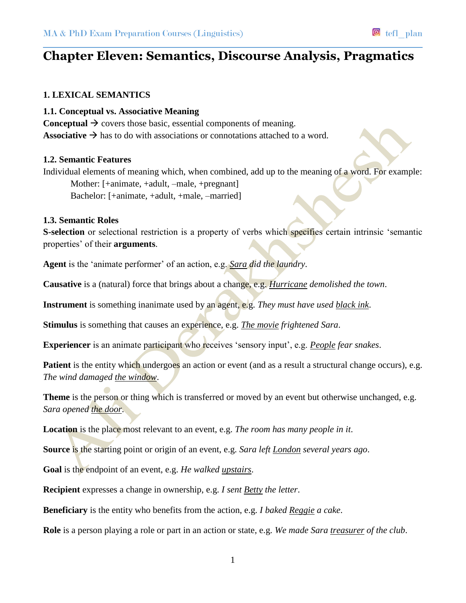# **Chapter Eleven: Semantics, Discourse Analysis, Pragmatics**

### **1. LEXICAL SEMANTICS**

#### **1.1. Conceptual vs. Associative Meaning**

**Conceptual**  $\rightarrow$  covers those basic, essential components of meaning. **Associative**  $\rightarrow$  has to do with associations or connotations attached to a word.

### **1.2. Semantic Features**

Individual elements of meaning which, when combined, add up to the meaning of a word. For example: Mother: [+animate, +adult, –male, +pregnant] Bachelor: [+animate, +adult, +male, –married]

#### **1.3. Semantic Roles**

**S-selection** or selectional restriction is a property of verbs which specifies certain intrinsic 'semantic properties' of their **arguments**.

**Agent** is the 'animate performer' of an action, e.g. *Sara did the laundry*.

**Causative** is a (natural) force that brings about a change, e.g. *Hurricane demolished the town*.

**Instrument** is something inanimate used by an agent, e.g. *They must have used black ink*.

**Stimulus** is something that causes an experience, e.g. *The movie frightened Sara*.

**Experiencer** is an animate participant who receives 'sensory input', e.g. *People fear snakes*.

**Patient** is the entity which undergoes an action or event (and as a result a structural change occurs), e.g. *The wind damaged the window*.

**Theme** is the person or thing which is transferred or moved by an event but otherwise unchanged, e.g. *Sara opened the door*.

**Location** is the place most relevant to an event, e.g. *The room has many people in it*.

**Source** is the starting point or origin of an event, e.g. *Sara left London several years ago*.

**Goal** is the endpoint of an event, e.g. *He walked upstairs*.

**Recipient** expresses a change in ownership, e.g. *I sent Betty the letter*.

**Beneficiary** is the entity who benefits from the action, e.g. *I baked Reggie a cake*.

**Role** is a person playing a role or part in an action or state, e.g. *We made Sara treasurer of the club*.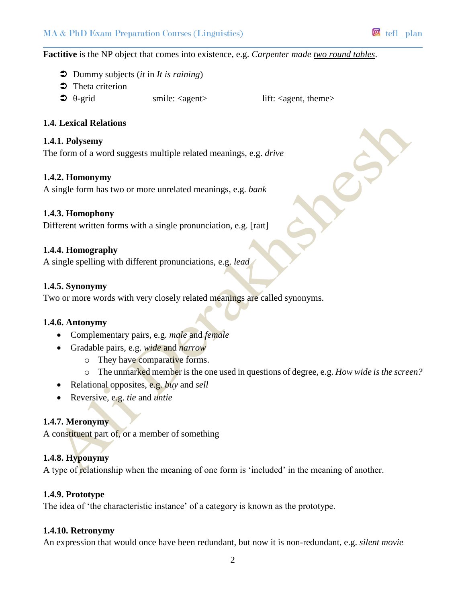### **Factitive** is the NP object that comes into existence, e.g. *Carpenter made two round tables*.

- Dummy subjects (*it* in *It is raining*)
- $\bullet$  Theta criterion
- $\supset \theta\text{-grid}$  smile: <agent> lift: <agent, theme>

### **1.4. Lexical Relations**

### **1.4.1. Polysemy**

The form of a word suggests multiple related meanings, e.g. *drive*

### **1.4.2. Homonymy**

A single form has two or more unrelated meanings, e.g. *bank*

### **1.4.3. Homophony**

Different written forms with a single pronunciation, e.g. [raɪt]

### **1.4.4. Homography**

A single spelling with different pronunciations, e.g. *lead*

### **1.4.5. Synonymy**

Two or more words with very closely related meanings are called synonyms.

### **1.4.6. Antonymy**

- Complementary pairs, e.g. *male* and *female*
- Gradable pairs, e.g. *wide* and *narrow*
	- o They have comparative forms.
	- o The unmarked member is the one used in questions of degree, e.g. *How wide is the screen?*
- Relational opposites, e.g. *buy* and *sell*
- Reversive, e.g. *tie* and *untie*

### **1.4.7. Meronymy**

A constituent part of, or a member of something

### **1.4.8. Hyponymy**

A type of relationship when the meaning of one form is 'included' in the meaning of another.

### **1.4.9. Prototype**

The idea of 'the characteristic instance' of a category is known as the prototype.

### **1.4.10. Retronymy**

An expression that would once have been redundant, but now it is non-redundant, e.g. *silent movie*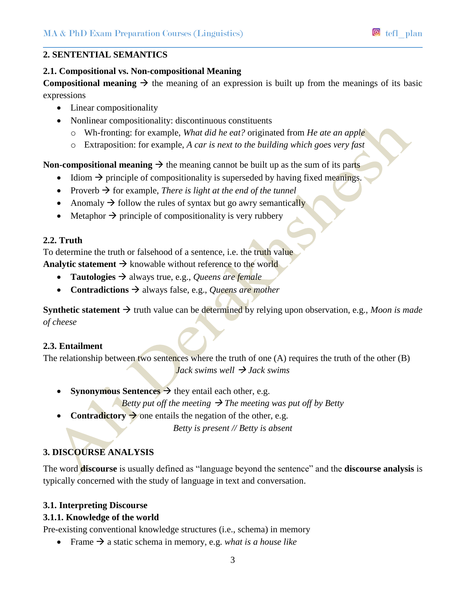## **2.1. Compositional vs. Non-compositional Meaning**

**Compositional meaning**  $\rightarrow$  the meaning of an expression is built up from the meanings of its basic expressions

- Linear compositionality
- Nonlinear compositionality: discontinuous constituents
	- o Wh-fronting: for example, *What did he eat?* originated from *He ate an apple*
	- o Extraposition: for example, *A car is next to the building which goes very fast*

**Non-compositional meaning**  $\rightarrow$  the meaning cannot be built up as the sum of its parts

- $\bullet$  Idiom  $\rightarrow$  principle of compositionality is superseded by having fixed meanings.
- Proverb  $\rightarrow$  for example, *There is light at the end of the tunnel*
- Anomaly  $\rightarrow$  follow the rules of syntax but go awry semantically
- $\bullet$  Metaphor  $\rightarrow$  principle of compositionality is very rubbery

# **2.2. Truth**

To determine the truth or falsehood of a sentence, i.e. the truth value

**Analytic statement**  $\rightarrow$  knowable without reference to the world

- **Tautologies**  $\rightarrow$  always true, e.g., *Queens are female*
- **• Contradictions**  $\rightarrow$  always false, e.g., *Queens are mother*

**Synthetic statement**  $\rightarrow$  truth value can be determined by relying upon observation, e.g., *Moon is made of cheese*

### **2.3. Entailment**

The relationship between two sentences where the truth of one (A) requires the truth of the other (B) *Jack swims well*  $\rightarrow$  *Jack swims* 

• **Synonymous Sentences**  $\rightarrow$  they entail each other, e.g.

*Betty put off the meeting*  $\rightarrow$  *The meeting was put off by Betty* 

• **Contradictory**  $\rightarrow$  one entails the negation of the other, e.g.

*Betty is present // Betty is absent*

# **3. DISCOURSE ANALYSIS**

The word **discourse** is usually defined as "language beyond the sentence" and the **discourse analysis** is typically concerned with the study of language in text and conversation.

# **3.1. Interpreting Discourse**

# **3.1.1. Knowledge of the world**

Pre-existing conventional knowledge structures (i.e., schema) in memory

• Frame  $\rightarrow$  a static schema in memory, e.g. *what is a house like*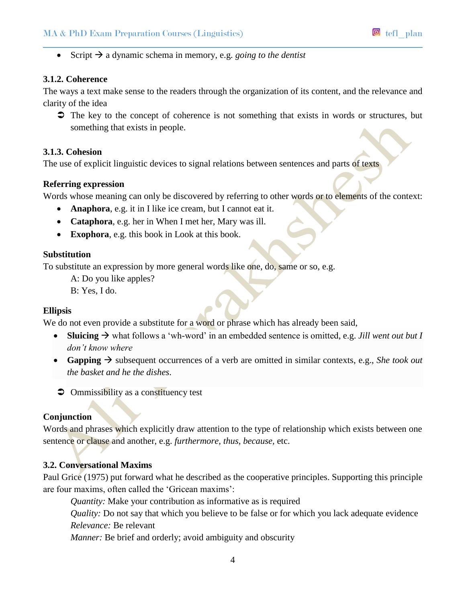Script  $\rightarrow$  a dynamic schema in memory, e.g. *going to the dentist* 

#### **3.1.2. Coherence**

The ways a text make sense to the readers through the organization of its content, and the relevance and clarity of the idea

 $\supset$  The key to the concept of coherence is not something that exists in words or structures, but something that exists in people.

#### **3.1.3. Cohesion**

The use of explicit linguistic devices to signal relations between sentences and parts of texts

### **Referring expression**

Words whose meaning can only be discovered by referring to other words or to elements of the context:

- **Anaphora**, e.g. it in I like ice cream, but I cannot eat it.
- **Cataphora**, e.g. her in When I met her, Mary was ill.
- **Exophora**, e.g. this book in Look at this book.

#### **Substitution**

To substitute an expression by more general words like one, do, same or so, e.g.

A: Do you like apples?

B: Yes, I do.

### **Ellipsis**

We do not even provide a substitute for a word or phrase which has already been said,

- **Sluicing**  $\rightarrow$  what follows a 'wh-word' in an embedded sentence is omitted, e.g. *Jill went out but I don't know where*
- **Gapping**  $\rightarrow$  subsequent occurrences of a verb are omitted in similar contexts, e.g., *She took out the basket and he the dishes*.
- $\supset$  Ommissibility as a constituency test

### **Conjunction**

Words and phrases which explicitly draw attention to the type of relationship which exists between one sentence or clause and another, e.g. *furthermore, thus, because,* etc.

### **3.2. Conversational Maxims**

Paul Grice (1975) put forward what he described as the cooperative principles. Supporting this principle are four maxims, often called the 'Gricean maxims':

*Quantity:* Make your contribution as informative as is required

*Quality:* Do not say that which you believe to be false or for which you lack adequate evidence *Relevance:* Be relevant

*Manner:* Be brief and orderly; avoid ambiguity and obscurity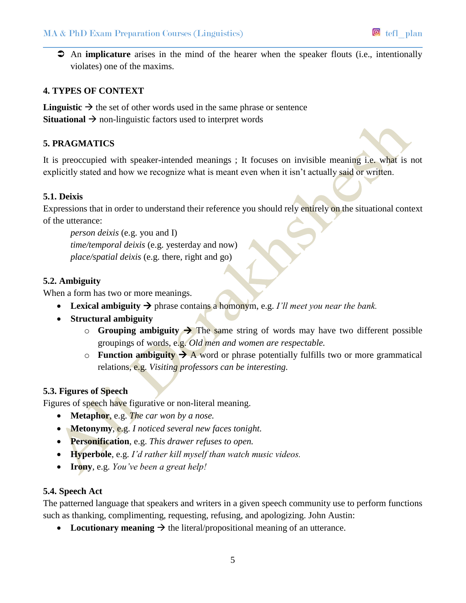An **implicature** arises in the mind of the hearer when the speaker flouts (i.e., intentionally violates) one of the maxims.

# **4. TYPES OF CONTEXT**

**Linguistic**  $\rightarrow$  the set of other words used in the same phrase or sentence **Situational**  $\rightarrow$  non-linguistic factors used to interpret words

# **5. PRAGMATICS**

It is preoccupied with speaker-intended meanings ; It focuses on invisible meaning i.e. what is not explicitly stated and how we recognize what is meant even when it isn't actually said or written.

### **5.1. Deixis**

Expressions that in order to understand their reference you should rely entirely on the situational context of the utterance:

*person deixis* (e.g. you and I) *time/temporal deixis* (e.g. yesterday and now) *place/spatial deixis* (e.g. there, right and go)

### **5.2. Ambiguity**

When a form has two or more meanings.

- **•** Lexical ambiguity  $\rightarrow$  phrase contains a homonym, e.g. *I'll meet you near the bank*.
- **Structural ambiguity**
	- $\circ$  **Grouping ambiguity**  $\rightarrow$  The same string of words may have two different possible groupings of words, e.g. *Old men and women are respectable.*
	- $\circ$  **Function ambiguity**  $\rightarrow$  A word or phrase potentially fulfills two or more grammatical relations, e.g. *Visiting professors can be interesting.*

### **5.3. Figures of Speech**

Figures of speech have figurative or non-literal meaning.

- **Metaphor**, e.g. *The car won by a nose.*
- **Metonymy**, e.g. *I noticed several new faces tonight.*
- **Personification**, e.g. *This drawer refuses to open.*
- **Hyperbole**, e.g. *I'd rather kill myself than watch music videos.*
- **Irony**, e.g. *You've been a great help!*

### **5.4. Speech Act**

The patterned language that speakers and writers in a given speech community use to perform functions such as thanking, complimenting, requesting, refusing, and apologizing. John Austin:

• Locutionary meaning  $\rightarrow$  the literal/propositional meaning of an utterance.